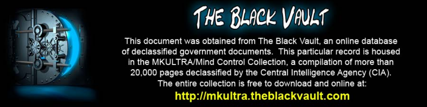

This document was obtained from The Black Vault, an online database of declassified government documents. This particular record is housed in the MKULTRA/Mind Control Collection, a compilation of more than 20,000 pages declassified by the Central Intelligence Agency (CIA). The entire collection is free to download and online at: http://mkultra.theblackvault.com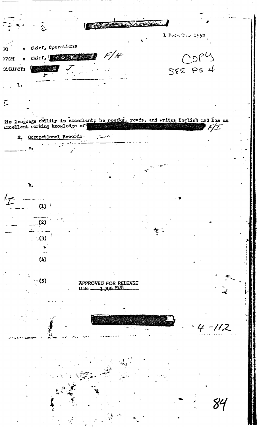**TERRATORALISM** ં હૈ 1 December 1952 Chief, Operations  $\overline{\mathbf{r}}$  $\overline{\mathbf{3}}$  $F/H$  $COP<sup>U</sup>$ Chief, **Barnett Barnett** 1794 588 PG 4 **CUBJFCT:** ·  **1999年12年**  $\mathbf{L}$  $\mathcal{L}% _{M_{1},M_{2}}^{\alpha,\beta}(\varepsilon)=\mathcal{L}_{M_{1},M_{2}}^{\alpha,\beta}(\varepsilon)$ Ms lenguage ability is excellent; he speake, reads, and writes English and has an trellent wirking knowledge of eleve ya kata 1991  $F/\mathcal{I}$ 2. Occupational Record: لتسمية  $\mathbf{b}_{\bullet}$  $L_{7}$ للمنازل  $(1)^i$  $(2)$  $(3)$  $\blacktriangleright$  $(4)$  $\sim$  (5) APPROVED FOR RECEASE<br>Date \_\_\_\_\_\_1\_JUN\_1978  $4 - 112$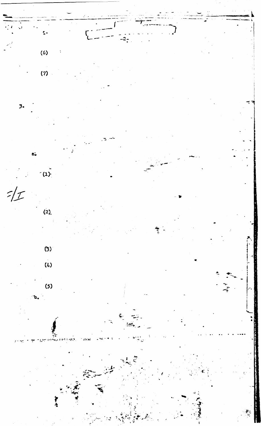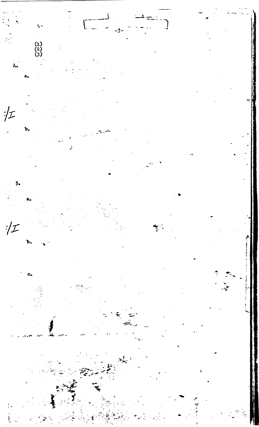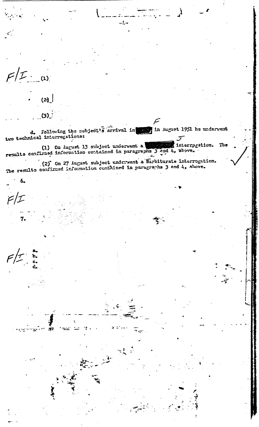$F/E$ .  $\overline{u}$ 

6.

 $F/T$  is

÷

 $F/L$ 

 $(2)<sub>1</sub>$  $(3)$ 

d. Following the subject's arrival in in August 1951 he underwent

-! -

(1) On August 13 subject underwent a sinterrog (1) On August 13 subject underwent a sinterrog interrogation. The

(2) On 27 August subject underwent a Barbiturate interrogation.<br>The results confirmed information contained in paragraphs 3 and 4, above.